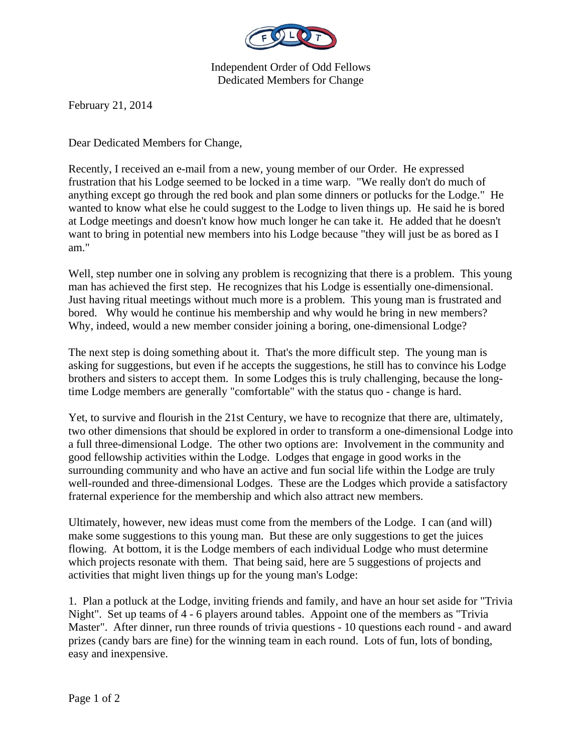

Independent Order of Odd Fellows Dedicated Members for Change

February 21, 2014

Dear Dedicated Members for Change,

Recently, I received an e-mail from a new, young member of our Order. He expressed frustration that his Lodge seemed to be locked in a time warp. "We really don't do much of anything except go through the red book and plan some dinners or potlucks for the Lodge." He wanted to know what else he could suggest to the Lodge to liven things up. He said he is bored at Lodge meetings and doesn't know how much longer he can take it. He added that he doesn't want to bring in potential new members into his Lodge because "they will just be as bored as I am."

Well, step number one in solving any problem is recognizing that there is a problem. This young man has achieved the first step. He recognizes that his Lodge is essentially one-dimensional. Just having ritual meetings without much more is a problem. This young man is frustrated and bored. Why would he continue his membership and why would he bring in new members? Why, indeed, would a new member consider joining a boring, one-dimensional Lodge?

The next step is doing something about it. That's the more difficult step. The young man is asking for suggestions, but even if he accepts the suggestions, he still has to convince his Lodge brothers and sisters to accept them. In some Lodges this is truly challenging, because the longtime Lodge members are generally "comfortable" with the status quo - change is hard.

Yet, to survive and flourish in the 21st Century, we have to recognize that there are, ultimately, two other dimensions that should be explored in order to transform a one-dimensional Lodge into a full three-dimensional Lodge. The other two options are: Involvement in the community and good fellowship activities within the Lodge. Lodges that engage in good works in the surrounding community and who have an active and fun social life within the Lodge are truly well-rounded and three-dimensional Lodges. These are the Lodges which provide a satisfactory fraternal experience for the membership and which also attract new members.

Ultimately, however, new ideas must come from the members of the Lodge. I can (and will) make some suggestions to this young man. But these are only suggestions to get the juices flowing. At bottom, it is the Lodge members of each individual Lodge who must determine which projects resonate with them. That being said, here are 5 suggestions of projects and activities that might liven things up for the young man's Lodge:

1. Plan a potluck at the Lodge, inviting friends and family, and have an hour set aside for "Trivia Night". Set up teams of 4 - 6 players around tables. Appoint one of the members as "Trivia Master". After dinner, run three rounds of trivia questions - 10 questions each round - and award prizes (candy bars are fine) for the winning team in each round. Lots of fun, lots of bonding, easy and inexpensive.